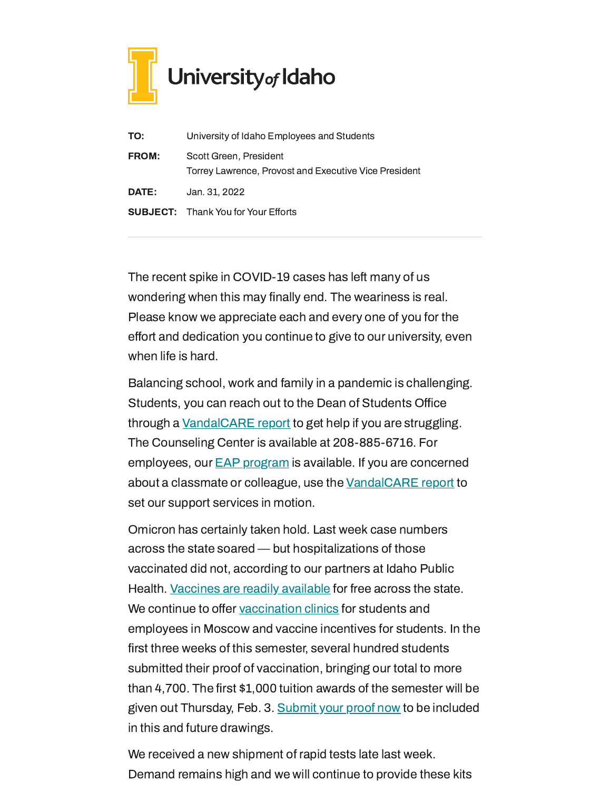

| TO:          | University of Idaho Employees and Students                                      |
|--------------|---------------------------------------------------------------------------------|
| <b>FROM:</b> | Scott Green, President<br>Torrey Lawrence, Provost and Executive Vice President |
| DATE:        | Jan. 31, 2022                                                                   |
|              | <b>SUBJECT:</b> Thank You for Your Efforts                                      |

The recent spike in COVID-19 cases has left many of us wondering when this may finally end. The weariness is real. Please know we appreciate each and every one of you for the effort and dedication you continue to give to our university, even when life is hard.

Balancing school, work and family in a pandemic is challenging. Students, you can reach out to the Dean of Students Office through a [VandalCARE](https://www.uidaho.edu/student-affairs/dean-of-students/vandalcare) report to get help if you are struggling. The Counseling Center is available at 208-885-6716. For employees, our **EAP [program](https://www.uidaho.edu/human-resources/benefits/core-benefits/eap)** is available. If you are concerned about a classmate or colleague, use the [VandalCARE](https://www.uidaho.edu/student-affairs/dean-of-students/vandalcare) report to set our support services in motion.

Omicron has certainly taken hold. Last week case numbers across the state soared — but hospitalizations of those vaccinated did not, according to our partners at Idaho Public Health. [Vaccines](https://www.vaccines.gov/search/) are readily available for free across the state. We continue to offer [vaccination](https://www.uidaho.edu/vandal-health-clinic/coronavirus/vaccine/pre-register) clinics for students and employees in Moscow and vaccine incentives for students. In the first three weeks of this semester, several hundred students submitted their proof of vaccination, bringing our total to more than 4,700. The first \$1,000 tuition awards of the semester will be given out Thursday, Feb. 3. [Submit](https://uidaho.co1.qualtrics.com/jfe/form/SV_6gICn0bvv2PZPNA) your proof now to be included in this and future drawings.

We received a new shipment of rapid tests late last week. Demand remains high and we will continue to provide these kits